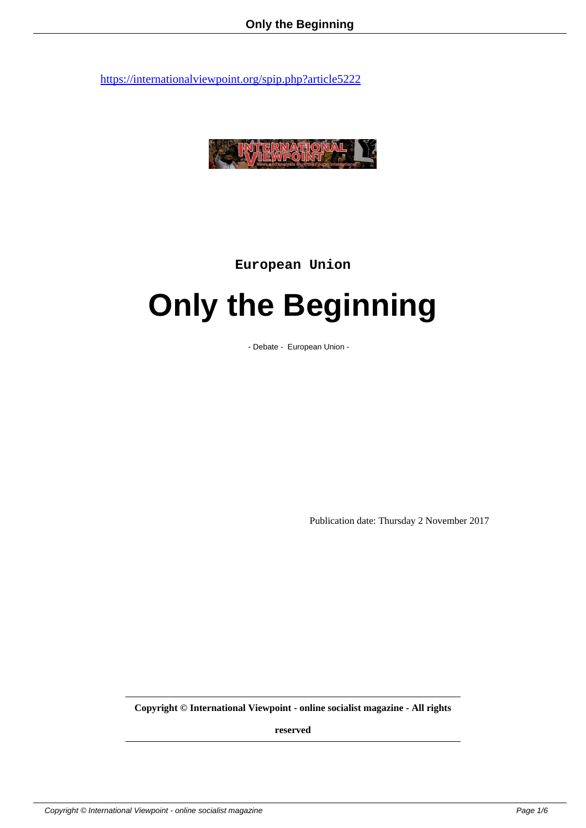

**European Union**

## **Only the Beginning**

- Debate - European Union -

Publication date: Thursday 2 November 2017

**Copyright © International Viewpoint - online socialist magazine - All rights**

**reserved**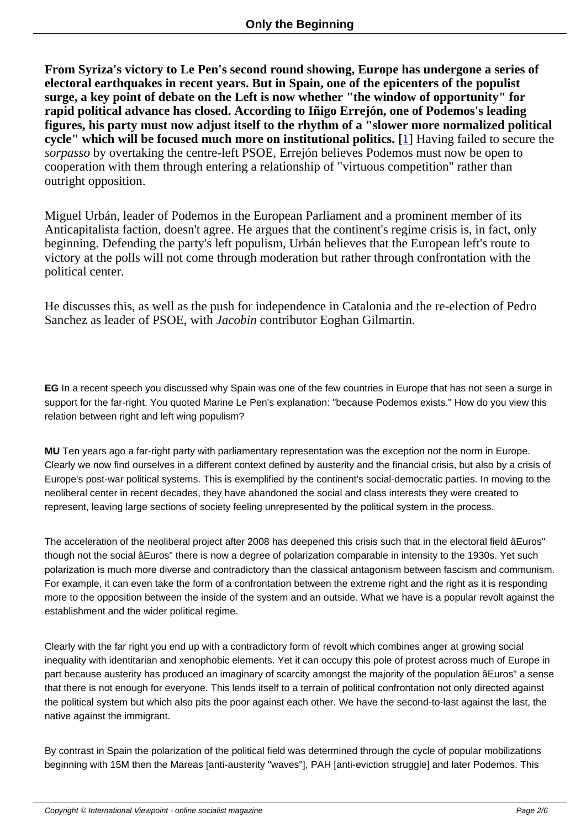**From Syriza's victory to Le Pen's second round showing, Europe has undergone a series of electoral earthquakes in recent years. But in Spain, one of the epicenters of the populist surge, a key point of debate on the Left is now whether "the window of opportunity" for rapid political advance has closed. According to Iñigo Errejón, one of Podemos's leading figures, his party must now adjust itself to the rhythm of a "slower more normalized political cycle" which will be focused much more on institutional politics. [**1] Having failed to secure the *sorpasso* by overtaking the centre-left PSOE, Errejón believes Podemos must now be open to cooperation with them through entering a relationship of "virtuous competition" rather than outright opposition.

Miguel Urbán, leader of Podemos in the European Parliament and a prominent member of its Anticapitalista faction, doesn't agree. He argues that the continent's regime crisis is, in fact, only beginning. Defending the party's left populism, Urbán believes that the European left's route to victory at the polls will not come through moderation but rather through confrontation with the political center.

He discusses this, as well as the push for independence in Catalonia and the re-election of Pedro Sanchez as leader of PSOE, with *Jacobin* contributor Eoghan Gilmartin.

**EG** In a recent speech you discussed why Spain was one of the few countries in Europe that has not seen a surge in support for the far-right. You quoted Marine Le Pen's explanation: "because Podemos exists." How do you view this relation between right and left wing populism?

**MU** Ten years ago a far-right party with parliamentary representation was the exception not the norm in Europe. Clearly we now find ourselves in a different context defined by austerity and the financial crisis, but also by a crisis of Europe's post-war political systems. This is exemplified by the continent's social-democratic parties. In moving to the neoliberal center in recent decades, they have abandoned the social and class interests they were created to represent, leaving large sections of society feeling unrepresented by the political system in the process.

The acceleration of the neoliberal project after 2008 has deepened this crisis such that in the electoral field âEuros" though not the social âEuros" there is now a degree of polarization comparable in intensity to the 1930s. Yet such polarization is much more diverse and contradictory than the classical antagonism between fascism and communism. For example, it can even take the form of a confrontation between the extreme right and the right as it is responding more to the opposition between the inside of the system and an outside. What we have is a popular revolt against the establishment and the wider political regime.

Clearly with the far right you end up with a contradictory form of revolt which combines anger at growing social inequality with identitarian and xenophobic elements. Yet it can occupy this pole of protest across much of Europe in part because austerity has produced an imaginary of scarcity amongst the majority of the population âEuros" a sense that there is not enough for everyone. This lends itself to a terrain of political confrontation not only directed against the political system but which also pits the poor against each other. We have the second-to-last against the last, the native against the immigrant.

By contrast in Spain the polarization of the political field was determined through the cycle of popular mobilizations beginning with 15M then the Mareas [anti-austerity "waves"], PAH [anti-eviction struggle] and later Podemos. This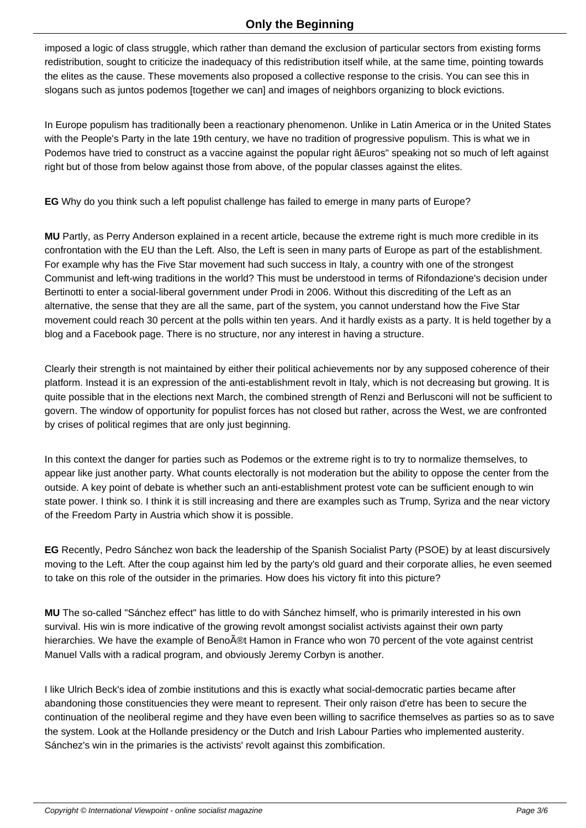imposed a logic of class struggle, which rather than demand the exclusion of particular sectors from existing forms redistribution, sought to criticize the inadequacy of this redistribution itself while, at the same time, pointing towards the elites as the cause. These movements also proposed a collective response to the crisis. You can see this in slogans such as juntos podemos [together we can] and images of neighbors organizing to block evictions.

In Europe populism has traditionally been a reactionary phenomenon. Unlike in Latin America or in the United States with the People's Party in the late 19th century, we have no tradition of progressive populism. This is what we in Podemos have tried to construct as a vaccine against the popular right âEuros" speaking not so much of left against right but of those from below against those from above, of the popular classes against the elites.

**EG** Why do you think such a left populist challenge has failed to emerge in many parts of Europe?

**MU** Partly, as Perry Anderson explained in a recent article, because the extreme right is much more credible in its confrontation with the EU than the Left. Also, the Left is seen in many parts of Europe as part of the establishment. For example why has the Five Star movement had such success in Italy, a country with one of the strongest Communist and left-wing traditions in the world? This must be understood in terms of Rifondazione's decision under Bertinotti to enter a social-liberal government under Prodi in 2006. Without this discrediting of the Left as an alternative, the sense that they are all the same, part of the system, you cannot understand how the Five Star movement could reach 30 percent at the polls within ten years. And it hardly exists as a party. It is held together by a blog and a Facebook page. There is no structure, nor any interest in having a structure.

Clearly their strength is not maintained by either their political achievements nor by any supposed coherence of their platform. Instead it is an expression of the anti-establishment revolt in Italy, which is not decreasing but growing. It is quite possible that in the elections next March, the combined strength of Renzi and Berlusconi will not be sufficient to govern. The window of opportunity for populist forces has not closed but rather, across the West, we are confronted by crises of political regimes that are only just beginning.

In this context the danger for parties such as Podemos or the extreme right is to try to normalize themselves, to appear like just another party. What counts electorally is not moderation but the ability to oppose the center from the outside. A key point of debate is whether such an anti-establishment protest vote can be sufficient enough to win state power. I think so. I think it is still increasing and there are examples such as Trump, Syriza and the near victory of the Freedom Party in Austria which show it is possible.

**EG** Recently, Pedro Sánchez won back the leadership of the Spanish Socialist Party (PSOE) by at least discursively moving to the Left. After the coup against him led by the party's old guard and their corporate allies, he even seemed to take on this role of the outsider in the primaries. How does his victory fit into this picture?

**MU** The so-called "Sánchez effect" has little to do with Sánchez himself, who is primarily interested in his own survival. His win is more indicative of the growing revolt amongst socialist activists against their own party hierarchies. We have the example of Beno®t Hamon in France who won 70 percent of the vote against centrist Manuel Valls with a radical program, and obviously Jeremy Corbyn is another.

I like Ulrich Beck's idea of zombie institutions and this is exactly what social-democratic parties became after abandoning those constituencies they were meant to represent. Their only raison d'etre has been to secure the continuation of the neoliberal regime and they have even been willing to sacrifice themselves as parties so as to save the system. Look at the Hollande presidency or the Dutch and Irish Labour Parties who implemented austerity. Sánchez's win in the primaries is the activists' revolt against this zombification.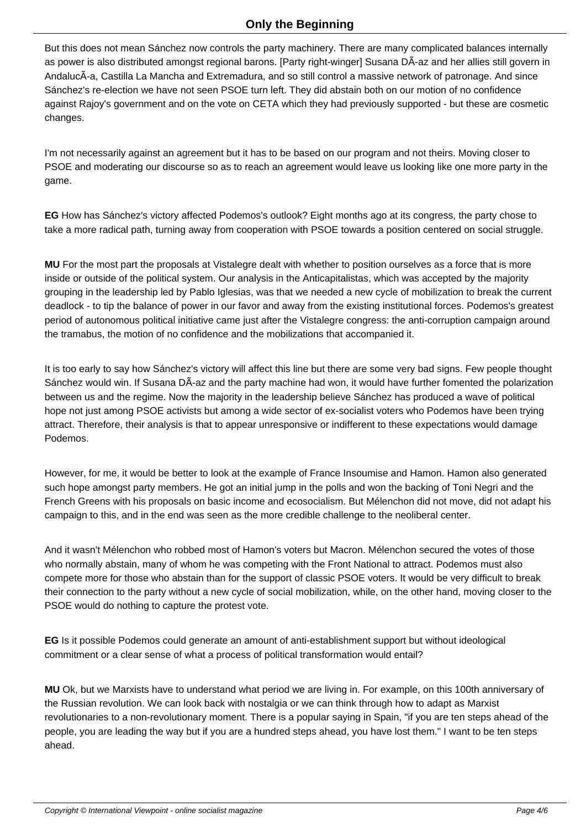But this does not mean Sánchez now controls the party machinery. There are many complicated balances internally as power is also distributed amongst regional barons. [Party right-winger] Susana DÂ-az and her allies still govern in AndalucÃ-a, Castilla La Mancha and Extremadura, and so still control a massive network of patronage. And since Sánchez's re-election we have not seen PSOE turn left. They did abstain both on our motion of no confidence against Rajoy's government and on the vote on CETA which they had previously supported - but these are cosmetic changes.

I'm not necessarily against an agreement but it has to be based on our program and not theirs. Moving closer to PSOE and moderating our discourse so as to reach an agreement would leave us looking like one more party in the game.

**EG** How has Sánchez's victory affected Podemos's outlook? Eight months ago at its congress, the party chose to take a more radical path, turning away from cooperation with PSOE towards a position centered on social struggle.

**MU** For the most part the proposals at Vistalegre dealt with whether to position ourselves as a force that is more inside or outside of the political system. Our analysis in the Anticapitalistas, which was accepted by the majority grouping in the leadership led by Pablo Iglesias, was that we needed a new cycle of mobilization to break the current deadlock - to tip the balance of power in our favor and away from the existing institutional forces. Podemos's greatest period of autonomous political initiative came just after the Vistalegre congress: the anti-corruption campaign around the tramabus, the motion of no confidence and the mobilizations that accompanied it.

It is too early to say how Sánchez's victory will affect this line but there are some very bad signs. Few people thought Sánchez would win. If Susana DÃ-az and the party machine had won, it would have further fomented the polarization between us and the regime. Now the majority in the leadership believe Sánchez has produced a wave of political hope not just among PSOE activists but among a wide sector of ex-socialist voters who Podemos have been trying attract. Therefore, their analysis is that to appear unresponsive or indifferent to these expectations would damage Podemos.

However, for me, it would be better to look at the example of France Insoumise and Hamon. Hamon also generated such hope amongst party members. He got an initial jump in the polls and won the backing of Toni Negri and the French Greens with his proposals on basic income and ecosocialism. But Mélenchon did not move, did not adapt his campaign to this, and in the end was seen as the more credible challenge to the neoliberal center.

And it wasn't Mélenchon who robbed most of Hamon's voters but Macron. Mélenchon secured the votes of those who normally abstain, many of whom he was competing with the Front National to attract. Podemos must also compete more for those who abstain than for the support of classic PSOE voters. It would be very difficult to break their connection to the party without a new cycle of social mobilization, while, on the other hand, moving closer to the PSOE would do nothing to capture the protest vote.

**EG** Is it possible Podemos could generate an amount of anti-establishment support but without ideological commitment or a clear sense of what a process of political transformation would entail?

**MU** Ok, but we Marxists have to understand what period we are living in. For example, on this 100th anniversary of the Russian revolution. We can look back with nostalgia or we can think through how to adapt as Marxist revolutionaries to a non-revolutionary moment. There is a popular saying in Spain, "if you are ten steps ahead of the people, you are leading the way but if you are a hundred steps ahead, you have lost them." I want to be ten steps ahead.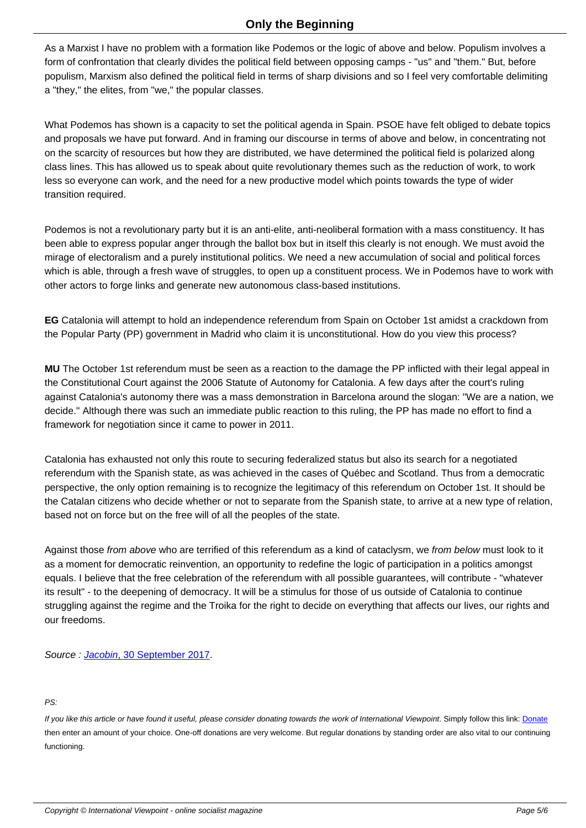As a Marxist I have no problem with a formation like Podemos or the logic of above and below. Populism involves a form of confrontation that clearly divides the political field between opposing camps - "us" and "them." But, before populism, Marxism also defined the political field in terms of sharp divisions and so I feel very comfortable delimiting a "they," the elites, from "we," the popular classes.

What Podemos has shown is a capacity to set the political agenda in Spain. PSOE have felt obliged to debate topics and proposals we have put forward. And in framing our discourse in terms of above and below, in concentrating not on the scarcity of resources but how they are distributed, we have determined the political field is polarized along class lines. This has allowed us to speak about quite revolutionary themes such as the reduction of work, to work less so everyone can work, and the need for a new productive model which points towards the type of wider transition required.

Podemos is not a revolutionary party but it is an anti-elite, anti-neoliberal formation with a mass constituency. It has been able to express popular anger through the ballot box but in itself this clearly is not enough. We must avoid the mirage of electoralism and a purely institutional politics. We need a new accumulation of social and political forces which is able, through a fresh wave of struggles, to open up a constituent process. We in Podemos have to work with other actors to forge links and generate new autonomous class-based institutions.

**EG** Catalonia will attempt to hold an independence referendum from Spain on October 1st amidst a crackdown from the Popular Party (PP) government in Madrid who claim it is unconstitutional. How do you view this process?

**MU** The October 1st referendum must be seen as a reaction to the damage the PP inflicted with their legal appeal in the Constitutional Court against the 2006 Statute of Autonomy for Catalonia. A few days after the court's ruling against Catalonia's autonomy there was a mass demonstration in Barcelona around the slogan: "We are a nation, we decide." Although there was such an immediate public reaction to this ruling, the PP has made no effort to find a framework for negotiation since it came to power in 2011.

Catalonia has exhausted not only this route to securing federalized status but also its search for a negotiated referendum with the Spanish state, as was achieved in the cases of Québec and Scotland. Thus from a democratic perspective, the only option remaining is to recognize the legitimacy of this referendum on October 1st. It should be the Catalan citizens who decide whether or not to separate from the Spanish state, to arrive at a new type of relation, based not on force but on the free will of all the peoples of the state.

Against those from above who are terrified of this referendum as a kind of cataclysm, we from below must look to it as a moment for democratic reinvention, an opportunity to redefine the logic of participation in a politics amongst equals. I believe that the free celebration of the referendum with all possible guarantees, will contribute - "whatever its result" - to the deepening of democracy. It will be a stimulus for those of us outside of Catalonia to continue struggling against the regime and the Troika for the right to decide on everything that affects our lives, our rights and our freedoms.

Source : Jacobin, 30 September 2017.

## PS:

If you like this article or have found it useful, please consider donating towards the work of International Viewpoint. Simply follow this link: Donate then enter an amount of your choice. One-off donations are very welcome. But regular donations by standing order are also vital to our continuing functioning.